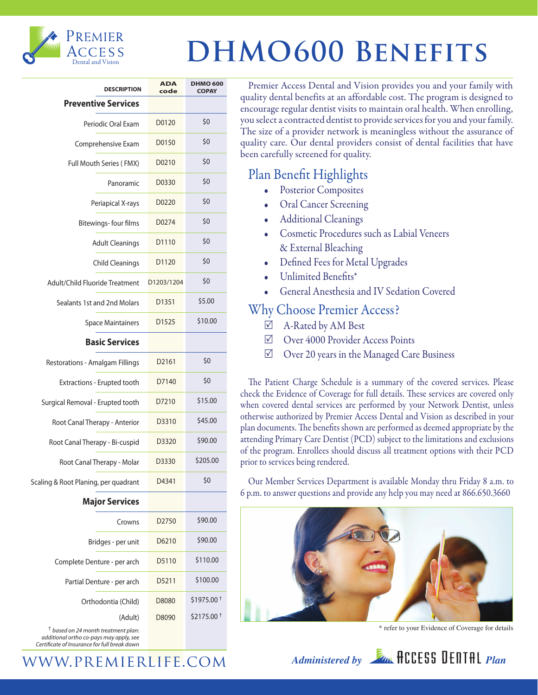

# PREMIER<br>ACCESS **DHMO600 BENEFITS**

| <b>DESCRIPTION</b>                   | <b>ADA</b><br>code | <b>DHMO 600</b><br><b>COPAY</b> |
|--------------------------------------|--------------------|---------------------------------|
| <b>Preventive Services</b>           |                    |                                 |
| Periodic Oral Exam                   | D0120              | \$0                             |
| Comprehensive Exam                   | D0150              | \$0                             |
| <b>Full Mouth Series (FMX)</b>       | D0210              | \$0                             |
| Panoramic                            | D0330              | \$0                             |
| Periapical X-rays                    | D0220              | \$0                             |
| Bitewings-four films                 | D0274              | \$0                             |
| <b>Adult Cleanings</b>               | D1110              | \$0                             |
| <b>Child Cleanings</b>               | D1120              | \$0                             |
| Adult/Child Fluoride Treatment       | D1203/1204         | \$0                             |
| Sealants 1st and 2nd Molars          | D <sub>1351</sub>  | \$5.00                          |
| <b>Space Maintainers</b>             | D <sub>1525</sub>  | \$10.00                         |
| <b>Basic Services</b>                |                    |                                 |
| Restorations - Amalgam Fillings      | D <sub>2161</sub>  | \$0                             |
| Extractions - Erupted tooth          | D7140              | \$0                             |
| Surgical Removal - Erupted tooth     | D7210              | \$15.00                         |
| Root Canal Therapy - Anterior        | D3310              | \$45.00                         |
| Root Canal Therapy - Bi-cuspid       | D3320              | \$90.00                         |
| Root Canal Therapy - Molar           | D3330              | \$205.00                        |
| Scaling & Root Planing, per quadrant | D4341              | \$0                             |
| <b>Major Services</b>                |                    |                                 |
| Crowns                               | D <sub>2750</sub>  | \$90.00                         |
| Bridges - per unit                   | D6210              | \$90.00                         |
| Complete Denture - per arch          | D5110              | \$110.00                        |
| Partial Denture - per arch           | D5211              | \$100.00                        |
| Orthodontia (Child)                  | D8080              | \$1975.00 <sup>+</sup>          |
| (Adult)                              | D8090              | \$2175.00 <sup>+</sup>          |

† *based on 24 month treatment plan: additional ortho co-pays may apply, see Certificate of Insurance for full break down*

Premier Access Dental and Vision provides you and your family with quality dental benefits at an affordable cost. The program is designed to encourage regular dentist visits to maintain oral health. When enrolling, you select a contracted dentist to provide services for you and your family. The size of a provider network is meaningless without the assurance of quality care. Our dental providers consist of dental facilities that have been carefully screened for quality.

## Plan Benefit Highlights

- Posterior Composites
- Oral Cancer Screening
- Additional Cleanings
- Cosmetic Procedures such as Labial Veneers & External Bleaching
- Defined Fees for Metal Upgrades
- Unlimited Benefits\*
- General Anesthesia and IV Sedation Covered

## Why Choose Premier Access?

- $\boxtimes$  A-Rated by AM Best
- R Over 4000 Provider Access Points
- $\boxtimes$  Over 20 years in the Managed Care Business

The Patient Charge Schedule is a summary of the covered services. Please check the Evidence of Coverage for full details. These services are covered only when covered dental services are performed by your Network Dentist, unless otherwise authorized by Premier Access Dental and Vision as described in your plan documents. The benefits shown are performed as deemed appropriate by the attending Primary Care Dentist (PCD) subject to the limitations and exclusions of the program. Enrollees should discuss all treatment options with their PCD prior to services being rendered.

Our Member Services Department is available Monday thru Friday 8 a.m. to 6 p.m. to answer questions and provide any help you may need at 866.650.3660



*Administered by Plan* **A**CCESS DENTAL *Plan* 

\* refer to your Evidence of Coverage for details

www.premierlife.com